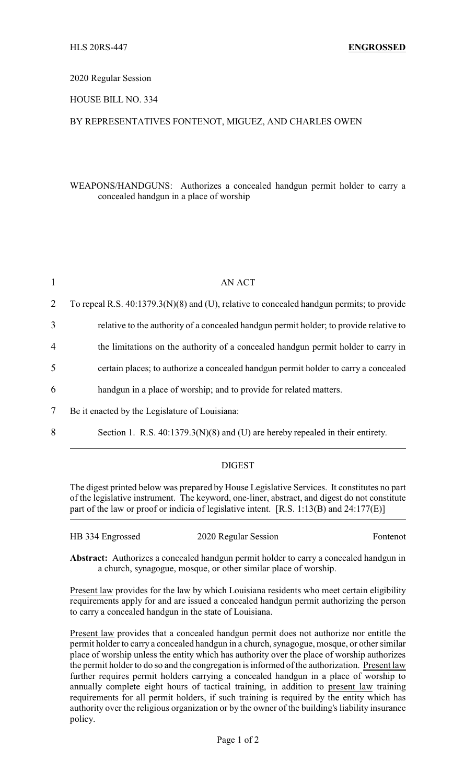#### 2020 Regular Session

# HOUSE BILL NO. 334

# BY REPRESENTATIVES FONTENOT, MIGUEZ, AND CHARLES OWEN

# WEAPONS/HANDGUNS: Authorizes a concealed handgun permit holder to carry a concealed handgun in a place of worship

| $\mathbf{1}$   | AN ACT                                                                                      |
|----------------|---------------------------------------------------------------------------------------------|
| 2              | To repeal R.S. $40:1379.3(N)(8)$ and (U), relative to concealed handgun permits; to provide |
| 3              | relative to the authority of a concealed handgun permit holder; to provide relative to      |
| $\overline{4}$ | the limitations on the authority of a concealed handgun permit holder to carry in           |
| 5              | certain places; to authorize a concealed handgun permit holder to carry a concealed         |
| 6              | handgun in a place of worship; and to provide for related matters.                          |
| 7              | Be it enacted by the Legislature of Louisiana:                                              |

8 Section 1. R.S. 40:1379.3(N)(8) and (U) are hereby repealed in their entirety.

#### DIGEST

The digest printed below was prepared by House Legislative Services. It constitutes no part of the legislative instrument. The keyword, one-liner, abstract, and digest do not constitute part of the law or proof or indicia of legislative intent. [R.S. 1:13(B) and 24:177(E)]

| HB 334 Engrossed | 2020 Regular Session | Fontenot |
|------------------|----------------------|----------|
|------------------|----------------------|----------|

**Abstract:** Authorizes a concealed handgun permit holder to carry a concealed handgun in a church, synagogue, mosque, or other similar place of worship.

Present law provides for the law by which Louisiana residents who meet certain eligibility requirements apply for and are issued a concealed handgun permit authorizing the person to carry a concealed handgun in the state of Louisiana.

Present law provides that a concealed handgun permit does not authorize nor entitle the permit holder to carry a concealed handgun in a church, synagogue, mosque, or other similar place of worship unless the entity which has authority over the place of worship authorizes the permit holder to do so and the congregation is informed of the authorization. Present law further requires permit holders carrying a concealed handgun in a place of worship to annually complete eight hours of tactical training, in addition to present law training requirements for all permit holders, if such training is required by the entity which has authority over the religious organization or by the owner of the building's liability insurance policy.